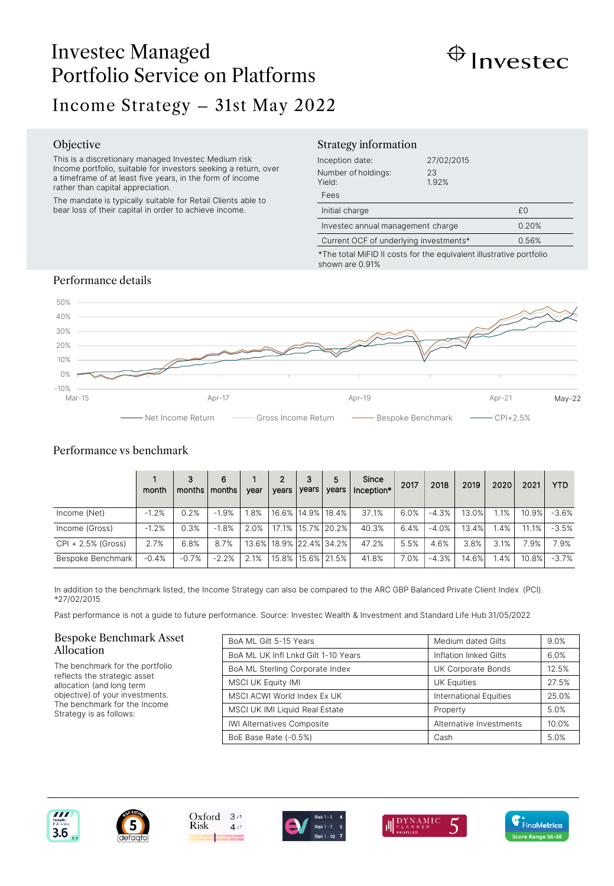# Investec Managed Portfolio Service on Platforms



# Income Strategy – 31st May 2022

#### Objective

This is a discretionary managed Investec Medium risk Income portfolio, suitable for investors seeking a return, over a timeframe of at least five years, in the form of income rather than capital appreciation.

The mandate is typically suitable for Retail Clients able to bear loss of their capital in order to achieve income.

## Strategy information

| Inception date:<br>Number of holdings:<br>Yield:<br>Fees | 27/02/2015<br>23<br>1.92% |    |
|----------------------------------------------------------|---------------------------|----|
| Initial charge                                           |                           | £0 |
| Investec annual management charge                        | 0.20%                     |    |
| Current OCF of underlying investments*                   | 0.56%                     |    |

\*The total MiFID II costs for the equivalent illustrative portfolio shown are 0.91%

# Performance details



# Performance vs benchmark

|                    | month   | 3<br>months   months | 6           | vear    | $\mathbf{2}$<br>vears | 3<br>years | 5<br>vears                    | Since<br>Inception* | 2017 | 2018    | 2019  | 2020 | 2021  | <b>YTD</b> |
|--------------------|---------|----------------------|-------------|---------|-----------------------|------------|-------------------------------|---------------------|------|---------|-------|------|-------|------------|
| Income (Net)       | $-1.2%$ | 0.2%                 | $-1.9%$     | .8%     |                       |            | 16.6% 14.9% 18.4%             | 37.1%               | 6.0% | $-4.3%$ | 13.0% | 1.1% | 10.9% | $-3.6%$    |
| Income (Gross)     | $-1.2%$ | 0.3%                 | .8%<br>$-1$ | $2.0\%$ |                       |            | 17.1%   15.7%   20.2%         | 40.3%               | 6.4% | $-4.0%$ | 13.4% | 1.4% | 11.1% | $-3.5%$    |
| CPI + 2.5% (Gross) | 2.7%    | 6.8%                 | 8.7%        |         |                       |            | 13.6%   18.9%   22.4%   34.2% | 47.2%               | 5.5% | 4.6%    | 3.8%  | 3.1% | 7.9%  | 7.9%       |
| Bespoke Benchmark  | $-0.4%$ | $-0.7%$              | $-2.2%$     | 2.1%    |                       |            | 15.8% 15.6% 21.5%             | 41.8%               | 7.0% | $-4.3%$ | 14.6% | 1.4% | 10.8% | $-3.7%$    |

In addition to the benchmark listed, the Income Strategy can also be compared to the ARC GBP Balanced Private Client Index (PCI). \*27/02/2015

Past performance is not a guide to future performance. Source: Investec Wealth & Investment and Standard Life Hub 31/05/2022

### Bespoke Benchmark Asset Allocation

The benchmark for the portfolio reflects the strategic asset allocation (and long term objective) of your investments. The benchmark for the Income Strategy is as follows:

| BoA ML Gilt 5-15 Years              | Medium dated Gilts            | 9.0%  |
|-------------------------------------|-------------------------------|-------|
| BoA ML UK Infl Lnkd Gilt 1-10 Years | Inflation linked Gilts        | 6.0%  |
| BoA ML Sterling Corporate Index     | UK Corporate Bonds            | 12.5% |
| <b>MSCI UK Equity IMI</b>           | <b>UK Equities</b>            | 27.5% |
| MSCI ACWI World Index Ex UK         | <b>International Equities</b> | 25.0% |
| MSCI UK IMI Liquid Real Estate      | Property                      | 5.0%  |
| <b>IWI Alternatives Composite</b>   | Alternative Investments       | 10.0% |
| BoE Base Rate (-0.5%)               | Cash                          | 5.0%  |







 $4/7$